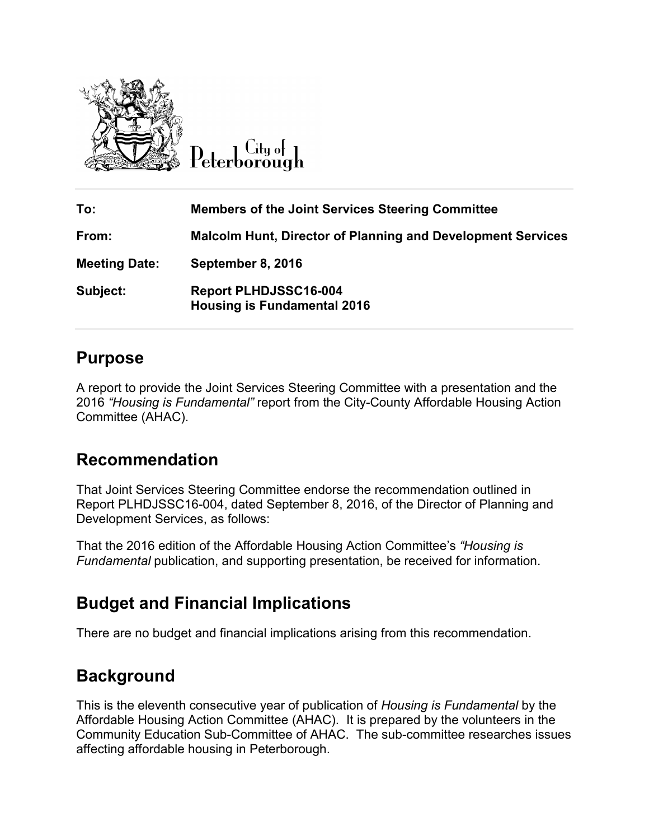

Citu of Peterborough

| To:                  | <b>Members of the Joint Services Steering Committee</b>            |
|----------------------|--------------------------------------------------------------------|
| From:                | <b>Malcolm Hunt, Director of Planning and Development Services</b> |
| <b>Meeting Date:</b> | September 8, 2016                                                  |
| Subject:             | Report PLHDJSSC16-004<br><b>Housing is Fundamental 2016</b>        |

## **Purpose**

A report to provide the Joint Services Steering Committee with a presentation and the 2016 *"Housing is Fundamental"* report from the City-County Affordable Housing Action Committee (AHAC).

## **Recommendation**

That Joint Services Steering Committee endorse the recommendation outlined in Report PLHDJSSC16-004, dated September 8, 2016, of the Director of Planning and Development Services, as follows:

That the 2016 edition of the Affordable Housing Action Committee's *"Housing is Fundamental* publication, and supporting presentation, be received for information.

# **Budget and Financial Implications**

There are no budget and financial implications arising from this recommendation.

# **Background**

This is the eleventh consecutive year of publication of *Housing is Fundamental* by the Affordable Housing Action Committee (AHAC). It is prepared by the volunteers in the Community Education Sub-Committee of AHAC. The sub-committee researches issues affecting affordable housing in Peterborough.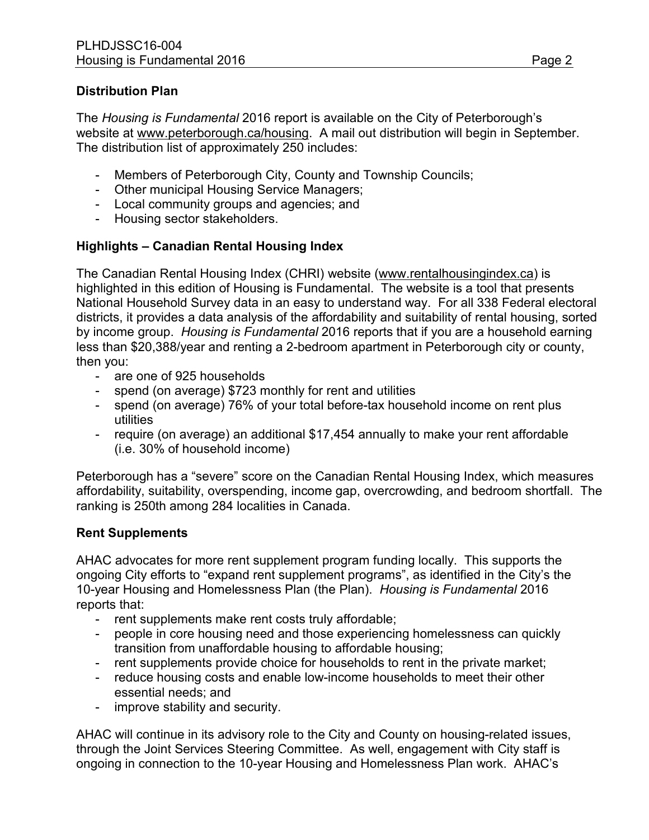### **Distribution Plan**

The *Housing is Fundamental* 2016 report is available on the City of Peterborough's website at [www.peterborough.ca/housing.](http://www.peterborough.ca/housing) A mail out distribution will begin in September. The distribution list of approximately 250 includes:

- Members of Peterborough City, County and Township Councils;
- Other municipal Housing Service Managers;
- Local community groups and agencies; and
- Housing sector stakeholders.

### **Highlights – Canadian Rental Housing Index**

The Canadian Rental Housing Index (CHRI) website (www.rentalhousingindex.ca) is highlighted in this edition of Housing is Fundamental. [The website is a tool that pre](http://www.rentalhousingindex.ca/)sents National Household Survey data in an easy to understand way. For all 338 Federal electoral districts, it provides a data analysis of the affordability and suitability of rental housing, sorted by income group. *Housing is Fundamental* 2016 reports that if you are a household earning less than \$20,388/year and renting a 2-bedroom apartment in Peterborough city or county, then you:

- are one of 925 households
- spend (on average) \$723 monthly for rent and utilities
- spend (on average) 76% of your total before-tax household income on rent plus utilities
- require (on average) an additional \$17,454 annually to make your rent affordable (i.e. 30% of household income)

Peterborough has a "severe" score on the Canadian Rental Housing Index, which measures affordability, suitability, overspending, income gap, overcrowding, and bedroom shortfall. The ranking is 250th among 284 localities in Canada.

### **Rent Supplements**

AHAC advocates for more rent supplement program funding locally. This supports the ongoing City efforts to "expand rent supplement programs", as identified in the City's the 10-year Housing and Homelessness Plan (the Plan). *Housing is Fundamental* 2016 reports that:

- rent supplements make rent costs truly affordable;
- people in core housing need and those experiencing homelessness can quickly transition from unaffordable housing to affordable housing;
- rent supplements provide choice for households to rent in the private market;
- reduce housing costs and enable low-income households to meet their other essential needs; and
- improve stability and security.

AHAC will continue in its advisory role to the City and County on housing-related issues, through the Joint Services Steering Committee. As well, engagement with City staff is ongoing in connection to the 10-year Housing and Homelessness Plan work. AHAC's